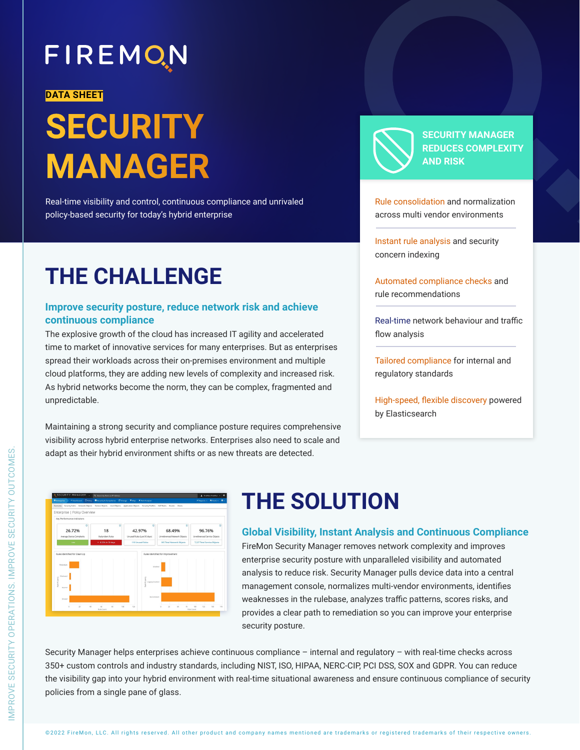## FIREMON

#### **DATA SHEET**

# **SECURITY MANAGER**

Real-time visibility and control, continuous compliance and unrivaled policy-based security for today's hybrid enterprise

### **THE CHALLENGE**

#### **Improve security posture, reduce network risk and achieve continuous compliance**

The explosive growth of the cloud has increased IT agility and accelerated time to market of innovative services for many enterprises. But as enterprises spread their workloads across their on-premises environment and multiple cloud platforms, they are adding new levels of complexity and increased risk. As hybrid networks become the norm, they can be complex, fragmented and unpredictable.

Maintaining a strong security and compliance posture requires comprehensive visibility across hybrid enterprise networks. Enterprises also need to scale and adapt as their hybrid environment shifts or as new threats are detected.



**SECURITY MANAGER REDUCES COMPLEXITY AND RISK** 

Rule consolidation and normalization across multi vendor environments

Instant rule analysis and security concern indexing

Automated compliance checks and rule recommendations

Real-time network behaviour and traffic flow analysis

Tailored compliance for internal and regulatory standards

High-speed, flexible discovery powered by Elasticsearch



### **THE SOLUTION**

**Global Visibility, Instant Analysis and Continuous Compliance** FireMon Security Manager removes network complexity and improves enterprise security posture with unparalleled visibility and automated analysis to reduce risk. Security Manager pulls device data into a central management console, normalizes multi-vendor environments, identifies weaknesses in the rulebase, analyzes traffic patterns, scores risks, and provides a clear path to remediation so you can improve your enterprise security posture.

Security Manager helps enterprises achieve continuous compliance – internal and regulatory – with real-time checks across 350+ custom controls and industry standards, including NIST, ISO, HIPAA, NERC-CIP, PCI DSS, SOX and GDPR. You can reduce the visibility gap into your hybrid environment with real-time situational awareness and ensure continuous compliance of security policies from a single pane of glass.